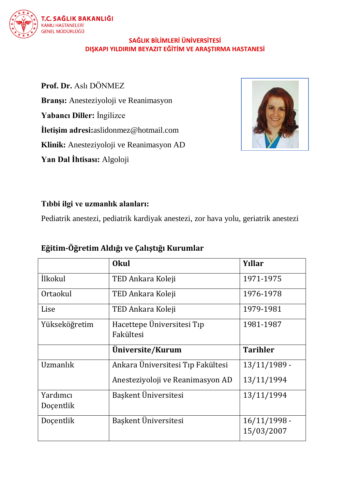

# **SAĞLIK BİLİMLERİ ÜNİVERSİTESİ DIŞKAPI YILDIRIM BEYAZIT EĞİTİM VE ARAŞTIRMA HASTANESİ**

**Prof. Dr.** Aslı DÖNMEZ **Branşı:** Anesteziyoloji ve Reanimasyon **Yabancı Diller:** İngilizce **İletişim adresi:**aslidonmez@hotmail.com **Klinik:** Anesteziyoloji ve Reanimasyon AD **Yan Dal İhtisası:** Algoloji



# **Tıbbi ilgi ve uzmanlık alanları:**

Pediatrik anestezi, pediatrik kardiyak anestezi, zor hava yolu, geriatrik anestezi

# **Eğitim-Öğretim Aldığı ve Çalıştığı Kurumlar**

|                       | <b>Okul</b>                                                           | <b>Y</b> ıllar               |
|-----------------------|-----------------------------------------------------------------------|------------------------------|
| <i>ilkokul</i>        | TED Ankara Koleji                                                     | 1971-1975                    |
| Ortaokul              | TED Ankara Koleji                                                     | 1976-1978                    |
| Lise                  | TED Ankara Koleji                                                     | 1979-1981                    |
| Yükseköğretim         | Hacettepe Üniversitesi Tip<br>Fakültesi                               | 1981-1987                    |
|                       | Üniversite/Kurum                                                      | <b>Tarihler</b>              |
| Uzmanlık              | Ankara Üniversitesi Tip Fakültesi<br>Anesteziyoloji ve Reanimasyon AD | $13/11/1989$ -<br>13/11/1994 |
| Yardımcı<br>Doçentlik | Başkent Üniversitesi                                                  | 13/11/1994                   |
| Docentlik             | Başkent Üniversitesi                                                  | $16/11/1998$ -<br>15/03/2007 |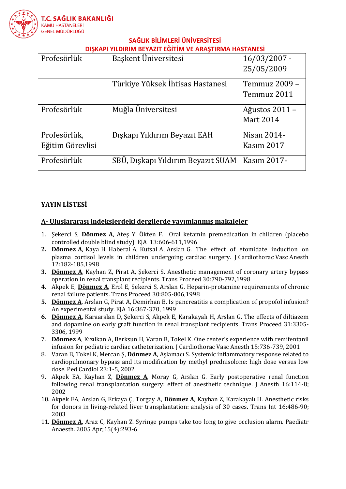

#### **SAĞLIK BİLİMLERİ ÜNİVERSİTESİ DIŞKAPI YILDIRIM BEYAZIT EĞİTİM VE ARAŞTIRMA HASTANESİ**

| Profesörlük      | Başkent Üniversitesi               | $16/03/2007$ -    |  |
|------------------|------------------------------------|-------------------|--|
|                  |                                    | 25/05/2009        |  |
|                  | Türkiye Yüksek İhtisas Hastanesi   | Temmuz 2009 -     |  |
|                  |                                    | Temmuz 2011       |  |
| Profesörlük      | Muğla Üniversitesi                 | Ağustos 2011 -    |  |
|                  |                                    | <b>Mart 2014</b>  |  |
| Profesörlük,     | Dışkapı Yıldırım Beyazıt EAH       | Nisan 2014-       |  |
| Eğitim Görevlisi |                                    | <b>Kasım 2017</b> |  |
| Profesörlük      | SBÜ, Dışkapı Yıldırım Beyazit SUAM | Kasım 2017-       |  |

# **YAYIN LİSTESİ**

### **A- Uluslararası indekslerdeki dergilerde yayımlanmış makaleler**

- 1. Şekerci S, **Dönmez A**, Ateş Y, Ökten F. Oral ketamin premedication in children (placebo controlled double blind study) EJA 13:606-611,1996
- **2. Dönmez A**, Kaya H, Haberal A, Kutsal A, Arslan G. The effect of etomidate induction on plasma cortisol levels in children undergoing cardiac surgery. J Cardiothorac Vasc Anesth 12:182-185,1998
- **3. Dönmez A**, Kayhan Z, Pirat A, Şekerci S. Anesthetic management of coronary artery bypass operation in renal transplant recipients. Trans Proceed 30:790-792,1998
- **4.** Akpek E, **Dönmez A**, Erol E, Şekerci S, Arslan G. Heparin-protamine requirements of chronic renal failure patients. Trans Proceed 30:805-806,1998
- **5. Dönmez A**, Arslan G, Pirat A, Demirhan B. Is pancreatitis a complication of propofol infusion? An experimental study. EJA 16:367-370, 1999
- **6. Dönmez A**, Karaarslan D, Şekerci S, Akpek E, Karakayalı H, Arslan G. The effects of diltiazem and dopamine on early graft function in renal transplant recipients. Trans Proceed 31:3305- 3306, 1999
- 7. **Dönmez A**, Kızılkan A, Berksun H, Varan B, Tokel K. One center's experience with remifentanil infusion for pediatric cardiac catheterization. J Cardiothorac Vasc Anesth 15:736-739, 2001
- 8. Varan B, Tokel K, Mercan Ş, **Dönmez A**, Aşlamacı S. Systemic inflammatory response related to cardiopulmonary bypass and its modification by methyl prednisolone: high dose versus low dose. Ped Cardiol 23:1-5, 2002
- 9. Akpek EA, Kayhan Z, **Dönmez A**, Moray G, Arslan G. Early postoperative renal function following renal transplantation surgery: effect of anesthetic technique. J Anesth 16:114-8; 2002
- 10. Akpek EA, Arslan G, Erkaya Ç, Torgay A, **Dönmez A**, Kayhan Z, Karakayalı H. Anesthetic risks for donors in living-related liver transplantation: analysis of 30 cases. Trans Int 16:486-90; 2003
- 11. **[Dönmez](http://www.ncbi.nlm.nih.gov/entrez/query.fcgi?cmd=Retrieve&db=pubmed&dopt=Abstract&list_uids=15787919) A**, Araz C, Kayhan Z. Syringe pumps take too long to give occlusion alarm. Paediatr Anaesth. 2005 Apr;15(4):293-6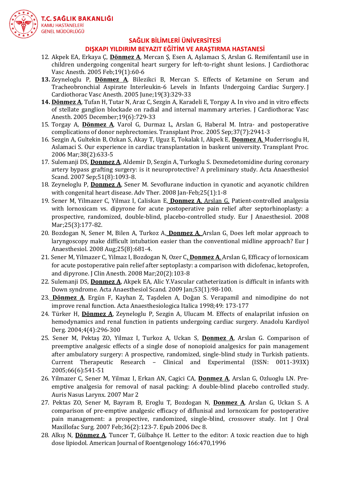

- 12. Akpek EA, Erkaya Ç, **Dönmez A**, Mercan Ş, Esen A, Aşlamacı S, Arslan G. Remifentanil use in children undergoing congenital heart surgery for left-to-right shunt lesions. J Cardiothorac Vasc Anesth. 2005 Feb;19(1):60-6
- **13.** Zeyneloglu P, **Dönmez A**, Bilezikci B, Mercan S. Effects of Ketamine on Serum and Tracheobronchial Aspirate Interleukin-6 Levels in Infants Undergoing Cardiac Surgery. J Cardiothorac Vasc Anesth. 2005 June;19(3):329-33
- **14. [Dönmez](http://www.ncbi.nlm.nih.gov/entrez/query.fcgi?cmd=Retrieve&db=pubmed&dopt=Abstract&list_uids=15787919) A**, Tufan H, Tutar N, Araz C, Sezgin A, Karadeli E, Torgay A. In vivo and in vitro effects of stellate ganglion blockade on radial and internal mammary arteries. J Cardiothorac Vasc Anesth. 2005 December;19(6):729-33
- 15. Torgay A, **Dönmez A**, Varol G, Durmaz L, Arslan G, Haberal M. Intra- and postoperative complications of donor nephrectomies. Transplant Proc. 2005 Sep;37(7):2941-3
- 16. [Sezgin A, Gultekin B, Ozkan S, Akay T, Uguz E, Tokalak I, Akpek E,](http://www.ncbi.nlm.nih.gov/entrez/query.fcgi?cmd=Retrieve&db=pubmed&dopt=Abstract&list_uids=16549193&query_hl=1&itool=pubmed_docsum) **Donmez A**, Muderrisoglu H, [Aslamaci S.](http://www.ncbi.nlm.nih.gov/entrez/query.fcgi?cmd=Retrieve&db=pubmed&dopt=Abstract&list_uids=16549193&query_hl=1&itool=pubmed_docsum) Our experience in cardiac transplantation in baskent university. Transplant Proc. 2006 Mar;38(2):633-5
- 17. Sulemanji DS, **Donmez A**[, Aldemir D, Sezgin A, Turkoglu S.](http://www.ncbi.nlm.nih.gov/sites/entrez?Db=pubmed&Cmd=ShowDetailView&TermToSearch=17697305&ordinalpos=2&itool=EntrezSystem2.PEntrez.Pubmed.Pubmed_ResultsPanel.Pubmed_RVDocSum) Dexmedetomidine during coronary artery bypass grafting surgery: is it neuroprotective? A preliminary study. Acta Anaesthesiol Scand. 2007 Sep;51(8):1093-8.
- 18. Zeyneloglu P, **Donmez A**, Sener M. Sevoflurane induction in cyanotic and acyanotic children with congenital heart disease. Adv Ther. 2008 Jan-Feb;25(1):1-8
- 19. [Sener M, Yilmazer C, Yilmaz I, Caliskan E,](http://www.ncbi.nlm.nih.gov/pubmed/17953792?ordinalpos=5&itool=EntrezSystem2.PEntrez.Pubmed.Pubmed_ResultsPanel.Pubmed_RVDocSum) **Donmez A**, Arslan G. Patient-controlled analgesia with lornoxicam vs. dipyrone for acute postoperative pain relief after septorhinoplasty: a prospective, randomized, double-blind, placebo-controlled study. Eur J Anaesthesiol. 2008 Mar;25(3):177-82.
- 20. [Bozdogan N, Sener M, Bilen A, Turkoz A,](http://www.ncbi.nlm.nih.gov/pubmed/18405410?ordinalpos=2&itool=EntrezSystem2.PEntrez.Pubmed.Pubmed_ResultsPanel.Pubmed_RVDocSum) **Donmez A**, Arslan G. Does left molar approach to laryngoscopy make difficult intubation easier than the conventional midline approach? Eur J Anaesthesiol. 2008 Aug;25(8):681-4.
- 21. [Sener M, Yilmazer C, Yilmaz I, Bozdogan N, Ozer C,](http://www.ncbi.nlm.nih.gov/pubmed/18410864?ordinalpos=1&itool=EntrezSystem2.PEntrez.Pubmed.Pubmed_ResultsPanel.Pubmed_RVDocSum) **Donmez A**, Arslan G. Efficacy of lornoxicam for acute postoperative pain relief after septoplasty: a comparison with diclofenac, ketoprofen, and dipyrone. J Clin Anesth. 2008 Mar;20(2):103-8
- 22. Sulemanji DS, **Donmez A**, Akpek EA, Alic Y[.Vascular catheterization is difficult in infants with](http://www.ncbi.nlm.nih.gov/pubmed/19032563?ordinalpos=1&itool=EntrezSystem2.PEntrez.Pubmed.Pubmed_ResultsPanel.Pubmed_DefaultReportPanel.Pubmed_RVDocSum)  [Down syndrome.](http://www.ncbi.nlm.nih.gov/pubmed/19032563?ordinalpos=1&itool=EntrezSystem2.PEntrez.Pubmed.Pubmed_ResultsPanel.Pubmed_DefaultReportPanel.Pubmed_RVDocSum) Acta Anaesthesiol Scand. 2009 Jan;53(1):98-100.
- 23. **Dönmez A**, Ergün F, Kayhan Z, Taşdelen A, Doğan S. Verapamil and nimodipine do not improve renal function. Acta Anaesthesiologica Italica 1998;49: 173-177
- 24. Türker H, **Dönmez A**, Zeyneloglu P, Sezgin A, Ulucam M. Effects of enalaprilat infusion on hemodynamics and renal function in patients undergoing cardiac surgery. Anadolu Kardiyol Derg. 2004;4(4):296-300
- 25. Sener M, Pektaş ZO, Yilmaz I, Turkoz A, Uckan S, **Donmez A**, Arslan G. Comparison of preemptive analgesic effects of a single dose of nonopioid analgesics for pain management after ambulatory surgery: A prospective, randomized, single-blind study in Turkish patients. Current Therapeutic Research – Clinical and Experimental (ISSN: 0011-393X) 2005;66(6):541-51
- 26. [Yilmazer C, Sener M, Yilmaz I, Erkan AN, Cagici CA,](http://www.ncbi.nlm.nih.gov/sites/entrez?Db=pubmed&Cmd=ShowDetailView&TermToSearch=17337141&ordinalpos=6&itool=EntrezSystem2.PEntrez.Pubmed.Pubmed_ResultsPanel.Pubmed_RVDocSum) **Donmez A**, Arslan G, Ozluoglu LN. Preemptive analgesia for removal of nasal packing: A double-blind placebo controlled study. Auris Nasus Larynx. 2007 Mar 2
- 27. [Pektas ZO, Sener M, Bayram B, Eroglu T, Bozdogan N,](http://www.ncbi.nlm.nih.gov/sites/entrez?Db=pubmed&Cmd=ShowDetailView&TermToSearch=17157478&ordinalpos=9&itool=EntrezSystem2.PEntrez.Pubmed.Pubmed_ResultsPanel.Pubmed_RVDocSum) **Donmez A**, Arslan G, Uckan S. A comparison of pre-emptive analgesic efficacy of diflunisal and lornoxicam for postoperative pain management: a prospective, randomized, single-blind, crossover study. Int J Oral Maxillofac Surg. 2007 Feb;36(2):123-7. Epub 2006 Dec 8.
- 28. Alkış N, **Dönmez A**, Tuncer T, Gülbahçe H. Letter to the editor: A toxic reaction due to high dose lipiodol. American Journal of Roentgenology 166:470,1996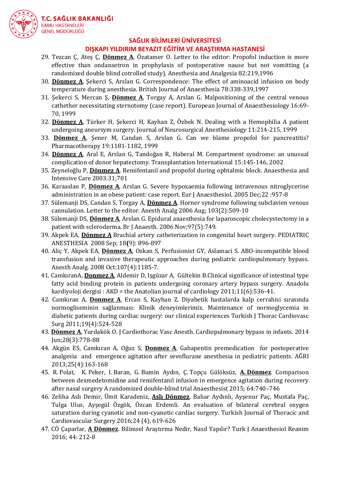

- 29. Tezcan Ç, Ateş Ç, **Dönmez A**, Özatamer O. Letter to the editor: Propofol induction is more effective than ondansetron in prophylaxis of postoperative nause but not vomitting (a randomized double blind cotrolled study). Anesthesia and Analgesia 82:219,1996
- 30. **Dönmez A**, Şekerci S, Arslan G. Correspondence: The effect of aminoacid infusion on body temperature during anesthesia. British Journal of Anaesthesia 78:338-339,1997
- 31. Şekerci S, Mercan Ş, **Dönmez A**, Torgay A, Arslan G. Malpositioning of the central venous cathether necessitating sternotomy (case report). European Journal of Anaesthesiology 16:69- 70, 1999
- 32. **Dönmez A**, Türker H, Şekerci H, Kayhan Z, Özbek N. Dealing with a Hemophilia A patient undergoing aneursym surgery. Journal of Neurosurgical Anesthesiology 11:214-215, 1999
- 33. **Dönmez A**, Şener M, Candan S, Arslan G. Can we blame propofol for pancreatitis? Pharmacotherapy 19:1181-1182, 1999
- 34. **Dönmez A**, Aral E, Arslan G, Tandoğan R, Haberal M. Compartment syndrome: an unusual complication of donor hepatectomy. Transplantation International 15:145-146, 2002
- 35. Zeyneloğlu P, **Dönmez A**. Remifentanil and propofol during ophtalmic block. Anaesthesia and Intensive Care 2003:31;701
- 36. Karaaslan P, **Dönmez A**, Arslan G. Severe hypoxaemia following intravenous nitroglycerine administration in an obese patient: case report. Eur J Anaesthesiol. 2005 Dec;22 :957-8
- 37. Sülemanji DS, Candan S, Torgay A, **Dönmez A**. Horner syndrome following subclavien venous cannulation. Letter to the editor. Anesth Analg 2006 Aug; 103(2):509-10
- 38. Sülemanji DS, **Dönmez A**, Arslan G. Epidural anaesthesia for laparoscopic cholecystectomy in a patient with scleroderma. Br J Anaesth. 2006 Nov;97(5):749.
- 39. Akpek EA, **Dönmez A** [Brachial artery catheterization in congenital heart surgery.](http://apps.isiknowledge.com/full_record.do?product=WOS&search_mode=GeneralSearch&qid=1&SID=Z1eA3EG1@ili4ahkn42&page=1&doc=1) PEDIATRIC ANESTHESIA 2008 Sep; 18**(**9): 896-897
- 40. Aliç Y, Akpek EA, **Dönmez A**[, Ozkan S, Perfusionist GY, Aslamaci S.](http://www.ncbi.nlm.nih.gov/pubmed/18806026?ordinalpos=1&itool=EntrezSystem2.PEntrez.Pubmed.Pubmed_ResultsPanel.Pubmed_DefaultReportPanel.Pubmed_RVDocSum) ABO-incompatible blood transfusion and invasive therapeutic approaches during pediatric cardiopulmonary bypass. Anesth Analg. 2008 Oct;107(4):1185-7.
- 41. CamkıranA, **Donmez A**, [Aldemir D,](http://www.biomedexperts.com/Profile.bme/22558/Derya_Aldemir) Işgüzar A, [Gültekin](http://www.biomedexperts.com/Profile.bme/506432/Bahadir_G%c3%bcltekin) B.Clinical significance of intestinal type fatty acid binding protein in patients undergoing coronary artery bypass surgery. Anadolu kardiyoloji dergisi : AKD = the Anatolian journal of cardiology 2011;11(6):536-41.
- 42. Camkıran A, **Donmez A**, Ercan S, Kayhan Z. Diyabetik hastalarda kalp cerrahisi sırasında normogliseminin sağlanması: Klinik deneyimlerimiz. Maintenance of normoglycemia in diabetic patients during cardiac surgery: our clinical experiences Turkish J Thorac Cardiovasc Surg 2011;19(4):524-528
- 43. **[Dönmez A](https://www.ncbi.nlm.nih.gov/pubmed/?term=D%C3%B6nmez%20A%5BAuthor%5D&cauthor=true&cauthor_uid=24746593)**, [Yurdakök O.](https://www.ncbi.nlm.nih.gov/pubmed/?term=Yurdak%C3%B6k%20O%5BAuthor%5D&cauthor=true&cauthor_uid=24746593) [J Cardiothorac Vasc Anesth.](https://www.ncbi.nlm.nih.gov/pubmed/24746593) Cardiopulmonary bypass in infants. 2014 Jun;28(3):778-88
- 44. Akgün ES, Camkıran A, Oğuz S, **Donmez A**. Gabapentin premedication for postoperative analgesia and emergence agitation after sevoflurane anesthesia in pediatric patients. AĞRI 2013;25(4):163-168
- 45. R. Polat, K. Peker, I. Baran, G. Bumin Aydın, Ç. Topçu Gülöksüz, **A. Dönmez**. Comparison between dexmedetomidine and remifentanil infusion in emergence agitation during recovery after nasal surgery A randomized double-blind trial Anaesthesist 2015; 64:740–746
- 46. Zeliha Aslı Demir, Ümit Karadeniz, **Aslı Dönmez**, Bahar Aydınlı, Ayşenur Paç, Mustafa Paç, Tulga Ulus, Ayşegül Özgök, Özcan Erdemli. [An evaluation of bilateral cerebral oxygen](http://tgkdc.dergisi.org/text.php3?id=2447)  [saturation during cyanotic and non-cyanotic cardiac surgery.](http://tgkdc.dergisi.org/text.php3?id=2447) Turkish Journal of Thoracic and Cardiovascular Surgery 2016;24 (4), 619-626
- 47. CÖ Çaparlar, **A Dönmez**. [Bilimsel Araştırma Nedir, Nasıl Yapılır?](https://scholar.google.com.tr/citations?view_op=view_citation&hl=tr&user=1tXZL_UAAAAJ&cstart=40&citation_for_view=1tXZL_UAAAAJ:P5F9QuxV20EC) Turk J Anaesthesiol Reanim 2016; 44: 212-8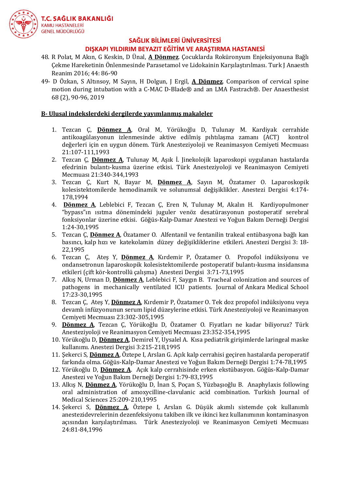

#### **DIŞKAPI YILDIRIM BEYAZIT EĞİTİM VE ARAŞTIRMA HASTANESİ**

- 48. R Polat, M Akın, G Keskin, D Ünal, **A Dönmez**. [Çocuklarda Roküronyum Enjeksiyonuna Bağlı](https://scholar.google.com.tr/citations?view_op=view_citation&hl=tr&user=1tXZL_UAAAAJ&cstart=40&citation_for_view=1tXZL_UAAAAJ:CHSYGLWDkRkC)  [Çekme Hareketinin Önlenmesinde Parasetamol ve Lidokainin Karşılaştırılması](https://scholar.google.com.tr/citations?view_op=view_citation&hl=tr&user=1tXZL_UAAAAJ&cstart=40&citation_for_view=1tXZL_UAAAAJ:CHSYGLWDkRkC). Turk J Anaesth Reanim 2016; 44: 86-90
- 49- D Özkan, S Altınsoy, M Sayın, H Dolgun, J Ergil, **A Dönmez**. [Comparison of cervical spine](javascript:void(0))  [motion during intubation with a C-MAC D-Blade® and an LMA Fastrach®.](javascript:void(0)) Der Anaesthesist 68 (2), 90-96, 2019

#### **B- Ulusal indekslerdeki dergilerde yayımlanmış makaleler**

- 1. Tezcan Ç, **Dönmez A**, Oral M, Yörükoğlu D, Tulunay M. Kardiyak cerrahide antikoagülasyonun izlenmesinde aktive edilmiş pıhtılaşma zamanı (ACT) kontrol değerleri için en uygun dönem. Türk Anesteziyoloji ve Reanimasyon Cemiyeti Mecmuası 21:107-111,1993
- 2. Tezcan Ç, **Dönmez A**, Tulunay M, Aşık İ. Jinekolojik laparoskopi uygulanan hastalarda efedrinin bulantı-kusma üzerine etkisi. Türk Anesteziyoloji ve Reanimasyon Cemiyeti Mecmuası 21:340-344,1993
- 3. Tezcan Ç, Kurt N, Bayar M, **Dönmez A**, Sayın M, Özatamer O. Laparoskopik kolesistektomilerde hemodinamik ve solunumsal değişiklikler. Anestezi Dergisi 4:174- 178,1994
- 4. **Dönmez A**, Leblebici F, Tezcan Ç, Eren N, Tulunay M, Akalın H. Kardiyopulmoner "bypass"ın ısıtma dönemindeki juguler venöz desatürasyonun postoperatif serebral fonksiyonlar üzerine etkisi. Göğüs-Kalp-Damar Anestezi ve Yoğun Bakım Derneği Dergisi 1:24-30,1995
- 5. Tezcan Ç, **Dönmez A**, Özatamer O. Alfentanil ve fentanilin trakeal entübasyona bağlı kan basıncı, kalp hızı ve katekolamin düzey değişikliklerine etkileri. Anestezi Dergisi 3: 18- 22,1995
- 6. Tezcan Ç, Ateş Y, **Dönmez A**, Kırdemir P, Özatamer O. Propofol indüksiyonu ve ondansetronun laparoskopik kolesistektomilerde postoperatif bulantı-kusma insidansına etkileri (çift kör-kontrollü çalışma) Anestezi Dergisi 3:71-73,1995
- 7. Alkış N, Urman D, **Dönmez A**, Leblebici F, Saygın B. Tracheal colonization and sources of pathogens in mechanically ventilated ICU patients. Journal of Ankara Medical School 17:23-30,1995
- 8. Tezcan Ç, Ateş Y, **Dönmez A**, Kırdemir P, Özatamer O. Tek doz propofol indüksiyonu veya devamlı infüzyonunun serum lipid düzeylerine etkisi. Türk Anesteziyoloji ve Reanimasyon Cemiyeti Mecmuası 23:302-305,1995
- 9. **Dönmez A**, Tezcan Ç, Yörükoğlu D, Özatamer O. Fiyatları ne kadar biliyoruz? Türk Anesteziyoloji ve Reanimasyon Cemiyeti Mecmuası 23:352-354,1995
- 10. Yörükoğlu D, **Dönmez A**, Demirel Y, Uysalel A. Kısa pediatrik girişimlerde laringeal maske kullanımı. Anestezi Dergisi 3:215-218,1995
- 11. Şekerci S, **Dönmez A**, Öztepe I, Arslan G. Açık kalp cerrahisi geçiren hastalarda peroperatif farkında olma. Göğüs-Kalp-Damar Anestezi ve Yoğun Bakım Derneği Dergisi 1:74-78,1995
- 12. Yörükoğlu D, **Dönmez A**. Açık kalp cerrahisinde erken ekstübasyon. Göğüs-Kalp-Damar Anestezi ve Yoğun Bakım Derneği Dergisi 1:79-83,1995
- 13. Alkış N, **Dönmez A**, Yörükoğlu D, İnan S, Poçan S, Yüzbaşıoğlu B. Anaphylaxis following oral administration of amoxycilline-clavulanic acid combination. Turkish Journal of Medical Sciences 25:209-210,1995
- 14. Şekerci S, **Dönmez A**, Öztepe I, Arslan G. Düşük akımlı sistemde çok kullanımlı anestezidevrelerinin dezenfeksiyonu takiben ilk ve ikinci kez kullanımının kontaminasyon açısından karşılaştırılması. Türk Anesteziyoloji ve Reanimasyon Cemiyeti Mecmuası 24:81-84,1996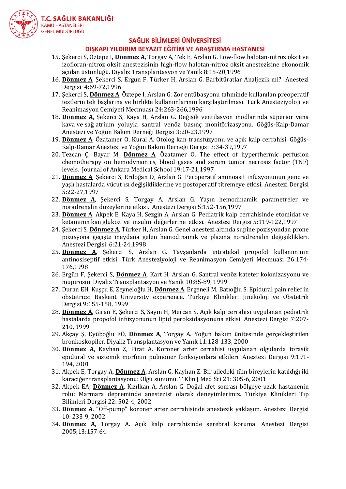

- 15. Şekerci S, Öztepe I, **Dönmez A**, Torgay A, Tek E, Arslan G. Low-flow halotan-nitröz oksit ve izofloran-nitröz oksit anestezisinin high-flow halotan-nitröz oksit anestezisine ekonomik açıdan üstünlüğü. Diyaliz Transplantasyon ve Yanık 8:15-20,1996
- 16. **Dönmez A**, Şekerci S, Ergün F, Türker H, Arslan G. Barbitüratlar Analjezik mi? Anestezi Dergisi 4:69-72,1996
- 17. Şekerci S, **Dönmez A**, Öztepe I, Arslan G. Zor entübasyonu tahminde kullanılan preoperatif testlerin tek başlarına ve birlikte kullanımlarının karşılaştırılması. Türk Anesteziyoloji ve Reanimasyon Cemiyeti Mecmuası 24:263-266,1996
- 18. **Dönmez A**, Şekerci S, Kaya H, Arslan G. Değişik ventilasyon modlarında süperior vena kava ve sağ atrium yoluyla santral venöz basınç monitörizasyonu. Göğüs-Kalp-Damar Anestezi ve Yoğun Bakım Derneği Dergisi 3:20-23,1997
- 19. **Dönmez A**, Özatamer O, Kural A. Otolog kan transfüzyonu ve açık kalp cerrahisi. Göğüs-Kalp-Damar Anestezi ve Yoğun Bakım Derneği Dergisi 3:34-39,1997
- 20. Tezcan Ç, Bayar M, **Dönmez A**, Özatamer O. The effect of hyperthermic perfusion chemotherapy on hemodynamics, blood gases and serum tumor necrosis factor (TNF) levels. Journal of Ankara Medical School 19:17-21,1997
- 21. **Dönmez A**, Şekerci S, Erdoğan D, Arslan G. Peroperatif aminoasit infüzyonunun genç ve yaşlı hastalarda vücut ısı değişikliklerine ve postoperatif titremeye etkisi. Anestezi Dergisi 5:22-27,1997
- 22. **Dönmez A**, Şekerci S, Torgay A, Arslan G. Yaşın hemodinamik parametreler ve noradrenalin düzeylerine etkisi. Anestezi Dergisi 5:152-156,1997
- 23. **Dönmez A**, Akpek E, Kaya H, Sezgin A, Arslan G. Pediatrik kalp cerrahisinde etomidat ve ketaminin kan glukoz ve insülin değerlerine etkisi. Anestezi Dergisi 5:119-122,1997
- 24. Şekerci S, **Dönmez A**, Türker H, Arslan G. Genel anestezi altında supine pozisyondan prone pozisyona geçişte meydana gelen hemodinamik ve plazma noradrenalin değişiklikleri. Anestezi Dergisi 6:21-24,1998
- 25. **Dönmez A**, Şekerci S, Arslan G. Tavşanlarda intratekal propofol kullanımının antinosiseptif etkisi. Türk Anesteziyoloji ve Reanimasyon Cemiyeti Mecmuası 26:174- 176,1998
- 26. Ergün F, Şekerci S, **Dönmez A**, Kart H, Arslan G. Santral venöz kateter kolonizasyonu ve mupirosin. Diyaliz Transplantasyon ve Yanık 10:85-89, 1999
- 27. Duran EH, Kuşçu E, Zeyneloğlu H, **Dönmez A**, Ergeneli M, Batıoğlu S. Epidural pain relief in obstetrics: Başkent University experience. Türkiye Klinikleri Jinekoloji ve Obstetrik Dergisi 9:155-158, 1999
- 28. **Dönmez A**, Gıran E, Şekerci S, Sayın H, Mercan Ş. Açık kalp cerrahisi uygulanan pediatrik hastalarda propofol infüzyonunun lipid peroksidasyonuna etkisi. Anestezi Dergisi 7:207- 210, 1999
- 29. Akçay Ş, Eyüboğlu FÖ, **Dönmez A**, Torgay A. Yoğun bakım ünitesinde gerçekleştirilen bronkoskopiler. Diyaliz Transplantasyon ve Yanık 11:128-133, 2000
- 30. **Dönmez A**, Kayhan Z, Pirat A. Koroner arter cerrahisi uygulanan olgularda torasik epidural ve sistemik morfinin pulmoner fonksiyonlara etkileri. Anestezi Dergisi 9:191- 194, 2001
- 31. Akpek E, Torgay A, **Dönmez A**, Arslan G, Kayhan Z. Bir ailedeki tüm bireylerin katıldığı iki karaciğer transplantasyonu: Olgu sunumu. T Klin J Med Sci 21: 305-6, 2001
- 32. Akpek EA, **Dönmez A**, Kızılkan A, Arslan G. Doğal afet sonrası bölgeye uzak hastanenin rolü: Marmara depreminde anestezist olarak deneyimlerimiz. Türkiye Klinikleri Tıp Bilimleri Dergisi 22: 502-4, 2002
- 33. **Dönmez A**. "Off-pump" koroner arter cerrahisinde anestezik yaklaşım. Anestezi Dergisi 10: 233-9, 2002
- 34. **Dönmez A**, Torgay A. Açık kalp cerrahisinde serebral koruma. Anestezi Dergisi 2005;13:157-64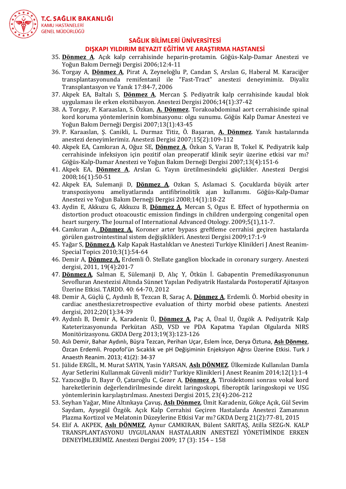

- 35. **Dönmez A**. Açık kalp cerrahisinde heparin-protamin. Göğüs-Kalp-Damar Anestezi ve Yoğun Bakım Derneği Dergisi 2006;12:4-11
- 36. Torgay A, **Dönmez A**, Pirat A, Zeyneloğlu P, Candan S, Arslan G, Haberal M. Karaciğer transplantasyonunda remifentanil ile "Fast-Tract" anestezi deneyimimiz. Diyaliz Transplantasyon ve Yanık 17:84-7, 2006
- 37. Akpek EA, Baltalı S, **Dönmez A**, Mercan Ş. Pediyatrik kalp cerrahisinde kaudal blok uygulaması ile erken ekstübasyon. Anestezi Dergisi 2006;14(1):37-42
- 38. A. Torgay, P. Karaaslan, S. Özkan, **A. Dönmez**. Torakoabdominal aort cerrahisinde spinal kord koruma yöntemlerinin kombinasyonu: olgu sunumu. Göğüs Kalp Damar Anestezi ve Yoğun Bakım Derneği Dergisi 2007;13(1):43-45
- 39. P. Karaaslan, Ş. Canikli, L. Durmaz Titiz, Ö. Başaran, **A. Dönmez**. Yanık hastalarında anestezi deneyimlerimiz. Anestezi Dergisi 2007;15(2):109-112
- 40. Akpek EA, Camkıran A, Oğuz SE, **Dönmez A**, Özkan S, Varan B, Tokel K. Pediyatrik kalp cerrahisinde infeksiyon için pozitif olan preoperatif klinik seyir üzerine etkisi var mı? Göğüs-Kalp-Damar Anestezi ve Yoğun Bakım Derneği Dergisi 2007;13(4):151-6
- 41. Akpek EA, **Dönmez A**, Arslan G. Yayın üretilmesindeki güçlükler. Anestezi Dergisi 2008;16(1):50-51
- 42. Akpek EA, Sulemanji D, **Dönmez A**, Ozkan S, Aslamaci S. Çocuklarda büyük arter transpozisyonu ameliyatlarında antifibrinolitik ajan kullanımı. Göğüs-Kalp-Damar Anestezi ve Yoğun Bakım Derneği Dergisi 2008;14(1):18-22
- 43. Aydin E, Akkuzu G, Akkuzu B, **Dönmez A**, Mercan S, Ogus E. Effect of hypothermia on distortion product otoacoustic emission findings in children undergoing congenital open heart surgery. The Journal of International Advanced Otology. 2009;5(1),11-7.
- 44. Camkıran A, **Dönmez A.** Koroner arter bypass greftleme cerrahisi geçiren hastalarda görülen gastrointestinal sistem değişiklikleri. Anestezi Dergisi 2009;17:1-9
- 45. Yağar S, **Dönmez A**. Kalp Kapak Hastalıkları ve Anestezi Turkiye Klinikleri J Anest Reanim-Special Topics 2010;3(1):54-64
- 46. Demir A, **Dönmez A,** Erdemli Ö. Stellate ganglion blockade in coronary surgery. Anestezi dergisi, 2011, 19(4):201-7
- 47. **Dönmez A**, Salman E, Sülemanji D, Alıç Y, Ötkün İ. Gabapentin Premedikasyonunun Sevofluran Anestezisi Altında Sünnet Yapılan Pediyatrik Hastalarda Postoperatif Ajitasyon Üzerine Etkisi. TARDD. 40: 64-70, 2012
- 48. Demir A, Güçlü Ç, Aydınlı B, Tezcan B, Saraç A, **Dönmez A**, Erdemli. Ö. Morbid obesity in cardiac anesthesia:retrospective evaluation of thirty morbid obese patients. Anestezi dergisi, 2012;20(1):34-39
- 49. Aydınlı B, Demir A, Karadeniz Ü, **Dönmez A**, Paç A, Ünal U, Özgök A. Pediyatrik Kalp Kateterizasyonunda Perkütan ASD, VSD ve PDA Kapatma Yapılan Olgularda NIRS Monitörizasyonu. GKDA Derg 2013;19(3):123-126
- 50. Aslı Demir, Bahar Aydınlı, Büşra Tezcan, Perihan Uçar, Eslem İnce, Derya Öztuna, **Aslı Dönmez**, Özcan Erdemli. Propofol'ün Sıcaklık ve pH Değişiminin Enjeksiyon Ağrısı Üzerine Etkisi. [Turk J](http://www.jtaics.org/jvi.aspx?pdir=tard&plng=eng&volume=41&issue=2)  [Anaesth Reanim. 2013; 41\(2\):](http://www.jtaics.org/jvi.aspx?pdir=tard&plng=eng&volume=41&issue=2) 34-37
- 51. Jülide ERGİL, M. Murat SAYIN, Yasin YARSAN, **Aslı DÖNMEZ**. Ülkemizde Kullanılan Damla Ayar Setlerini Kullanmak Güvenli midir? Turkiye Klinikleri J Anest Reanim 2014;12(1):1-4
- 52. Yazıcıoğlu D, Bayır Ö, Çataroğlu C, Gezer A, **Dönmez A**. Tiroidektomi sonrası vokal kord hareketlerinin değerlendirilmesinde direkt laringoskopi, fiberoptik laringoskopi ve USG yöntemlerinin karşılaştırılması. Anestezi Dergisi 2015, 23(4):206-212
- 53. Seyhan Yağar, Mine Altınkaya Çavuş, **Aslı Dönmez**, Ümit Karadeniz, Gökçe Açık, Gül Sevim Saydam, Ayşegül Özgök. Açık Kalp Cerrahisi Geçiren Hastalarda Anestezi Zamanının Plazma Kortizol ve Melatonin Düzeylerine Etkisi Var mı? GKDA Derg 21(2):77-81, 2015
- 54. Elif A. AKPEK, **Aslı DÖNMEZ**, Aynur CAMKIRAN, Bülent SARITAŞ, Atilla SEZG‹N. KALP TRANSPLANTASYONU UYGULANAN HASTALARIN ANESTEZİ YÖNETİMİNDE ERKEN DENEYİMLERİMİZ. Anestezi Dergisi 2009; 17 (3): 154 – 158